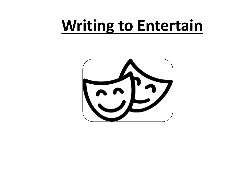## **Writing to Entertain**

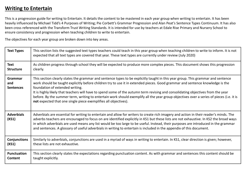## **Writing to Entertain**

This is a progression guide for writing to Entertain. It details the content to be mastered in each year group when writing to entertain. It has been heavily influenced by Michael Tidd's 4 Purposes of Writing; Pie Corbett's Grammar Progression and Alan Peat's Sentence Types Continuum. It has also been cross referenced with the Transform Trust Writing Standards. It is intended for use by teachers at Edale Rise Primary and Nursery School to ensure consistency and progression when teaching children to write to entertain.

The objectives for each year group are broken down into key areas.

| <b>Text Types</b>                  | This section lists the suggested text types teachers could teach in this year group when teaching children to write to inform. It is not<br>expected that all text types are covered that year. These text types are currently under review (July 2020)                                                                                                                                                                                                                                                                                                                                                                                                 |
|------------------------------------|---------------------------------------------------------------------------------------------------------------------------------------------------------------------------------------------------------------------------------------------------------------------------------------------------------------------------------------------------------------------------------------------------------------------------------------------------------------------------------------------------------------------------------------------------------------------------------------------------------------------------------------------------------|
| <b>Text</b>                        | As children progress through school they will be expected to produce more complex pieces. This document shows this progression                                                                                                                                                                                                                                                                                                                                                                                                                                                                                                                          |
| <b>Structure</b>                   | clearly.                                                                                                                                                                                                                                                                                                                                                                                                                                                                                                                                                                                                                                                |
| Grammar<br>and<br><b>Sentences</b> | This section clearly states the grammar and sentence types to be explicitly taught in this year group. This grammar and sentence<br>work should be taught explicitly before children try to use it in extended pieces. Good grammar and sentence knowledge is the<br>foundation of extended writing.<br>It is highly likely that teachers will have to spend some of the autumn term revising and consolidating objectives from the year<br>before. By the summer term, writing to entertain work should exemplify all the year group objectives over a series of pieces (i.e. it is<br>not expected that one single piece exemplifies all objectives). |
| <b>Adverbials</b><br>(KS1)         | Adverbials are essential for writing to entertain and allow for writers to create rich imagery and action in their reader's minds. The<br>adverbs teachers are encouraged to focus on are identified explicitly in KS1 but these lists are not exhaustive. In KS2 the broad ways<br>in which adverbials are used means any list would be too large to be useful. Instead, their purposes are introduced in the grammar<br>and sentences. A glossary of useful adverbials in writing to entertain is included in the appendix of this document.                                                                                                          |
| <b>Conjunctions</b>                | Similarly to adverbials, conjunctions are used in a myriad of ways in writing to entertain. In KS1, clear direction is given; however,                                                                                                                                                                                                                                                                                                                                                                                                                                                                                                                  |
| (KS1)                              | these lists are not exhaustive.                                                                                                                                                                                                                                                                                                                                                                                                                                                                                                                                                                                                                         |
| <b>Punctuation</b>                 | This section clearly states the expectations regarding punctuation content. As with grammar and sentences this content should be                                                                                                                                                                                                                                                                                                                                                                                                                                                                                                                        |
| Content                            | taught explicitly.                                                                                                                                                                                                                                                                                                                                                                                                                                                                                                                                                                                                                                      |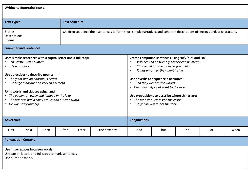|  |  | <b>Writing to Entertain: Year 1</b> |
|--|--|-------------------------------------|
|--|--|-------------------------------------|

| <b>Text Types</b>                                                                                                                                                                                                                                                                                                                                                                                                                             |                                                                                                               |      |       | <b>Text Structure</b>                                                                                                                                                                                                                                                                                                                                                                                                                                                                                                        |                                                                                                                            |                     |     |           |    |      |
|-----------------------------------------------------------------------------------------------------------------------------------------------------------------------------------------------------------------------------------------------------------------------------------------------------------------------------------------------------------------------------------------------------------------------------------------------|---------------------------------------------------------------------------------------------------------------|------|-------|------------------------------------------------------------------------------------------------------------------------------------------------------------------------------------------------------------------------------------------------------------------------------------------------------------------------------------------------------------------------------------------------------------------------------------------------------------------------------------------------------------------------------|----------------------------------------------------------------------------------------------------------------------------|---------------------|-----|-----------|----|------|
| <b>Stories</b><br>Descriptions<br>Poems                                                                                                                                                                                                                                                                                                                                                                                                       | <b>Grammar and Sentences</b>                                                                                  |      |       |                                                                                                                                                                                                                                                                                                                                                                                                                                                                                                                              | Children sequence their sentences to form short simple narratives and coherent descriptions of settings and/or characters. |                     |     |           |    |      |
|                                                                                                                                                                                                                                                                                                                                                                                                                                               |                                                                                                               |      |       |                                                                                                                                                                                                                                                                                                                                                                                                                                                                                                                              |                                                                                                                            |                     |     |           |    |      |
| Uses simple sentences with a capital letter and a full-stop:<br>The castle was haunted.<br>$\bullet$<br>He was scary.<br>Use adjectives to describe nouns:<br>The giant had an enormous beard.<br>$\bullet$<br>• The huge dinosaur had very sharp teeth.<br>Joins words and clauses using 'and':<br>The goblin ran away and jumped in the lake.<br>$\bullet$<br>The princess had a shiny crown and a silver sword.<br>• He was scary and big. |                                                                                                               |      |       | Create compound sentences using 'or', 'but' and 'so'<br>Witches can be friendly or they can be mean.<br>$\bullet$<br>Charlie hid but the monster found him.<br>$\bullet$<br>It was empty so they went inside.<br>$\bullet$<br>Use adverbs to sequence a narrative:<br>Then they went to the woods.<br>$\bullet$<br>Next, Big Billy Goat went to the river.<br>$\bullet$<br>Use prepositions to describe where things are:<br>The monster was inside the castle.<br>$\bullet$<br>The goblin was under the table.<br>$\bullet$ |                                                                                                                            |                     |     |           |    |      |
| <b>Adverbials</b>                                                                                                                                                                                                                                                                                                                                                                                                                             |                                                                                                               |      |       |                                                                                                                                                                                                                                                                                                                                                                                                                                                                                                                              |                                                                                                                            | <b>Conjunctions</b> |     |           |    |      |
| First                                                                                                                                                                                                                                                                                                                                                                                                                                         | <b>Next</b>                                                                                                   | Then | After | Later                                                                                                                                                                                                                                                                                                                                                                                                                                                                                                                        | The next day                                                                                                               | and                 | but | <b>SO</b> | or | when |
| <b>Punctuation Content</b>                                                                                                                                                                                                                                                                                                                                                                                                                    |                                                                                                               |      |       |                                                                                                                                                                                                                                                                                                                                                                                                                                                                                                                              |                                                                                                                            |                     |     |           |    |      |
|                                                                                                                                                                                                                                                                                                                                                                                                                                               | Use finger spaces between words<br>Use capital letters and full stops to mark sentences<br>Use question marks |      |       |                                                                                                                                                                                                                                                                                                                                                                                                                                                                                                                              |                                                                                                                            |                     |     |           |    |      |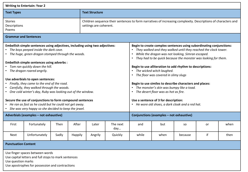| <b>Writing to Entertain: Year 2</b>                                                                                                                                                                                                                                                                                                                                                                                                                                                                                                                                                                                                                                            |                                        |       |         |         |                                                                                                                                                                                                                                                                                                                                                                                                                                                                                                                                                                                                                                                    |       |                                          |           |    |      |
|--------------------------------------------------------------------------------------------------------------------------------------------------------------------------------------------------------------------------------------------------------------------------------------------------------------------------------------------------------------------------------------------------------------------------------------------------------------------------------------------------------------------------------------------------------------------------------------------------------------------------------------------------------------------------------|----------------------------------------|-------|---------|---------|----------------------------------------------------------------------------------------------------------------------------------------------------------------------------------------------------------------------------------------------------------------------------------------------------------------------------------------------------------------------------------------------------------------------------------------------------------------------------------------------------------------------------------------------------------------------------------------------------------------------------------------------------|-------|------------------------------------------|-----------|----|------|
| <b>Text Types</b>                                                                                                                                                                                                                                                                                                                                                                                                                                                                                                                                                                                                                                                              | <b>Text Structure</b>                  |       |         |         |                                                                                                                                                                                                                                                                                                                                                                                                                                                                                                                                                                                                                                                    |       |                                          |           |    |      |
| <b>Stories</b><br>Descriptions<br>settings are coherent.<br>Poems                                                                                                                                                                                                                                                                                                                                                                                                                                                                                                                                                                                                              |                                        |       |         |         | Children sequence their sentences to form narratives of increasing complexity. Descriptions of characters and                                                                                                                                                                                                                                                                                                                                                                                                                                                                                                                                      |       |                                          |           |    |      |
| <b>Grammar and Sentences</b>                                                                                                                                                                                                                                                                                                                                                                                                                                                                                                                                                                                                                                                   |                                        |       |         |         |                                                                                                                                                                                                                                                                                                                                                                                                                                                                                                                                                                                                                                                    |       |                                          |           |    |      |
| Embellish simple sentences using adjectives, including using two adjectives:<br>The boys peeped inside the dark cave.<br>• The huge, green dragon stomped through the woods.<br><b>Embellish simple sentences using adverbs:</b><br>Tom ran quickly down the hill.<br>• The dragon roared angrily.<br>Use adverbials to open sentences:<br>Finally, they came to the end of the road.<br>Carefully, they walked through the woods.<br>One cold winter's day, Ruby was looking out of the window.<br>Secure the use of conjunctions to form compound sentences<br>He ran as fast as he could but he could not get away.<br>She was very happy so she decided to keep the jewel. |                                        |       |         |         | Begin to create complex sentences using subordinating conjunctions:<br>They walked and they walked until they reached the clock tower.<br>While the dragon was not looking, Simran escaped.<br>They had to be quick because the monster was looking for them.<br>Begin to use alliteration to add rhythm to descriptions:<br>• The wicked witch laughed.<br>• The floor was covered in slimy slugs<br>Begin to use similes to describe characters and places:<br>• The monster's skin was bumpy like a toad.<br>• The desert floor was as hot as fire.<br>Use a sentence of 3 for description:<br>• He wore old shoes, a dark cloak and a red hat. |       |                                          |           |    |      |
|                                                                                                                                                                                                                                                                                                                                                                                                                                                                                                                                                                                                                                                                                | Adverbials (examples - not exhaustive) |       |         |         |                                                                                                                                                                                                                                                                                                                                                                                                                                                                                                                                                                                                                                                    |       | Conjunctions (examples - not exhaustive) |           |    |      |
| First                                                                                                                                                                                                                                                                                                                                                                                                                                                                                                                                                                                                                                                                          | Fortunately                            | Then  | After   | Later   | The next<br>day                                                                                                                                                                                                                                                                                                                                                                                                                                                                                                                                                                                                                                    | and   | but                                      | <b>SO</b> | or | when |
| Next                                                                                                                                                                                                                                                                                                                                                                                                                                                                                                                                                                                                                                                                           | Unfortunately                          | Sadly | Happily | Angrily | Quickly                                                                                                                                                                                                                                                                                                                                                                                                                                                                                                                                                                                                                                            | while | when                                     | because   | if | then |
| <b>Punctuation Content</b>                                                                                                                                                                                                                                                                                                                                                                                                                                                                                                                                                                                                                                                     |                                        |       |         |         |                                                                                                                                                                                                                                                                                                                                                                                                                                                                                                                                                                                                                                                    |       |                                          |           |    |      |
| Use finger spaces between words<br>Use capital letters and full stops to mark sentences<br>Use question marks<br>Use apostrophes for possession and contractions                                                                                                                                                                                                                                                                                                                                                                                                                                                                                                               |                                        |       |         |         |                                                                                                                                                                                                                                                                                                                                                                                                                                                                                                                                                                                                                                                    |       |                                          |           |    |      |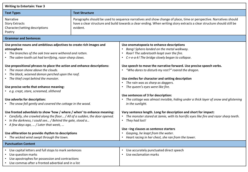| <b>Writing to Entertain: Year 3</b>                                                                                                                                                                                                                                                                                                                                                                                                                                                                                                        |                       |                                                                                                                                                                                                                                                                                                                                                                                                                                                                                                 |  |  |  |
|--------------------------------------------------------------------------------------------------------------------------------------------------------------------------------------------------------------------------------------------------------------------------------------------------------------------------------------------------------------------------------------------------------------------------------------------------------------------------------------------------------------------------------------------|-----------------------|-------------------------------------------------------------------------------------------------------------------------------------------------------------------------------------------------------------------------------------------------------------------------------------------------------------------------------------------------------------------------------------------------------------------------------------------------------------------------------------------------|--|--|--|
| <b>Text Types</b>                                                                                                                                                                                                                                                                                                                                                                                                                                                                                                                          | <b>Text Structure</b> |                                                                                                                                                                                                                                                                                                                                                                                                                                                                                                 |  |  |  |
| <b>Narrative</b><br><b>Story Extracts</b><br>Character/setting descriptions<br>evident.<br>Poetry                                                                                                                                                                                                                                                                                                                                                                                                                                          |                       | Paragraphs should be used to sequence narratives and show change of place, time or perspective. Narratives should<br>have a clear structure and build towards a clear ending. When writing story extracts a clear structure should still be                                                                                                                                                                                                                                                     |  |  |  |
| <b>Grammar and Sentences</b>                                                                                                                                                                                                                                                                                                                                                                                                                                                                                                               |                       |                                                                                                                                                                                                                                                                                                                                                                                                                                                                                                 |  |  |  |
| Use precise nouns and ambitious adjectives to create rich images and<br>atmosphere<br>• The branches of the oak tree were withered and rotten.<br>• The sabre-tooth cat had terrifying, razor-sharp claws.<br>Use prepositional phrases to place the action and enhance descriptions:<br>The moon shone above the clouds.<br>The black, wizened demon perched upon the roof.<br>The thief crept behind the monster.<br>Use precise verbs that enhance meaning:<br>• e.g. crept, stare, screamed, slithered<br>Use adverbs for description: |                       | Use onomatopoeia to enhance descriptions<br>Bang! Sphero landed on the metal walkway.<br>Roar! The sabretooth leapt over the fire.<br>• C-r-e-a-k! The bridge slowly began to collapse.<br>Use speech to move the narrative forward. Use precise speech verbs.<br>• "Who dares to disturb my rest?" roared the dragon.<br>Use similes for character and setting description<br>• The rain was as sharp as daggers.<br>• The queen's eyes were like fire.<br>Use sentences of 3 for description: |  |  |  |
| • The snow fell gently and covered the cottage in the wood.                                                                                                                                                                                                                                                                                                                                                                                                                                                                                |                       | The cottage was almost invisible, hiding under a thick layer of snow and glistening<br>in the sunlight.                                                                                                                                                                                                                                                                                                                                                                                         |  |  |  |
| Use fronted adverbials to show 'how / where / when' to enhance meaning:<br>Carefully, she crawled along the floor / All of a sudden, the door opened.<br>In the darkness, I could see / Behind the gate, stood a<br>• A few days ago,  / Later that week,                                                                                                                                                                                                                                                                                  |                       | Vary sentence length. Long for description and short for impact:<br>• The monster stared at Jamie, with its horrific eyes like fire and razor sharp teeth.<br>• They had lost!<br>Use-ing clauses as sentence starters                                                                                                                                                                                                                                                                          |  |  |  |
| Use alliteration to provide rhythm to descriptions<br>• The wicked wind swept through the town.                                                                                                                                                                                                                                                                                                                                                                                                                                            |                       | Gasping, he leapt from the water.<br>$\bullet$<br>• Heart racing in her chest, she ran from the tower.                                                                                                                                                                                                                                                                                                                                                                                          |  |  |  |
| <b>Punctuation Content</b>                                                                                                                                                                                                                                                                                                                                                                                                                                                                                                                 |                       |                                                                                                                                                                                                                                                                                                                                                                                                                                                                                                 |  |  |  |
| Use capital letters and full stops to mark sentences<br>Use question marks<br>Use apostrophes for possession and contractions<br>• Use commas after a fronted adverbial and in a list                                                                                                                                                                                                                                                                                                                                                      |                       | Use accurately punctuated direct speech<br>$\bullet$<br>Use exclamation marks                                                                                                                                                                                                                                                                                                                                                                                                                   |  |  |  |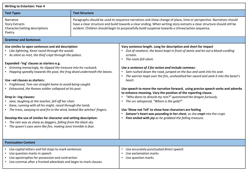| <b>Writing to Entertain: Year 4</b>                                                                                                                                                                                                                                                                                                                                                                                                                                                                                                                                                                                                                                                                                                                                                                                                                                                                                                           |                       |                                                                                                                                                                                                                                                                                                                                                                                                                                                                                                                                                                                                                                                                                                                                                                                                                                                                                                         |  |  |  |
|-----------------------------------------------------------------------------------------------------------------------------------------------------------------------------------------------------------------------------------------------------------------------------------------------------------------------------------------------------------------------------------------------------------------------------------------------------------------------------------------------------------------------------------------------------------------------------------------------------------------------------------------------------------------------------------------------------------------------------------------------------------------------------------------------------------------------------------------------------------------------------------------------------------------------------------------------|-----------------------|---------------------------------------------------------------------------------------------------------------------------------------------------------------------------------------------------------------------------------------------------------------------------------------------------------------------------------------------------------------------------------------------------------------------------------------------------------------------------------------------------------------------------------------------------------------------------------------------------------------------------------------------------------------------------------------------------------------------------------------------------------------------------------------------------------------------------------------------------------------------------------------------------------|--|--|--|
| <b>Text Types</b>                                                                                                                                                                                                                                                                                                                                                                                                                                                                                                                                                                                                                                                                                                                                                                                                                                                                                                                             | <b>Text Structure</b> |                                                                                                                                                                                                                                                                                                                                                                                                                                                                                                                                                                                                                                                                                                                                                                                                                                                                                                         |  |  |  |
| Narrative<br><b>Story Extracts</b><br>Character/setting descriptions<br>Poetry                                                                                                                                                                                                                                                                                                                                                                                                                                                                                                                                                                                                                                                                                                                                                                                                                                                                |                       | Paragraphs should be used to sequence narratives and show change of place, time or perspective. Narratives should<br>have a clear structure and build towards a clear ending. When writing story extracts a clear structure should still be<br>evident. Children should begin to purposefully build suspense towards a climax/action sequence.                                                                                                                                                                                                                                                                                                                                                                                                                                                                                                                                                          |  |  |  |
| <b>Grammar and Sentences</b>                                                                                                                                                                                                                                                                                                                                                                                                                                                                                                                                                                                                                                                                                                                                                                                                                                                                                                                  |                       |                                                                                                                                                                                                                                                                                                                                                                                                                                                                                                                                                                                                                                                                                                                                                                                                                                                                                                         |  |  |  |
| Use similes to open sentences and aid description:<br>Like lightning, Kenzi raced through the woods<br>• As silent as mist, the thief crept through the palace.<br>Expanded -'ing' clauses as starters e.g.<br>Grinning menacingly, he slipped the treasure into his rucksack.<br>Hopping speedily towards the pool, the frog dived underneath the leaves.<br>Use -ed clauses as starters:<br>Frightened, Tom ran straight home to avoid being caught.<br>Exhausted, the Roman soldier collapsed at his post.<br>Drop in -ing clauses:<br>Jane, laughing at the teacher, fell off her chair.<br>Kane, running with all his might, raced through the tomb.<br>The trees, swaying to and fro in the wind, looked like witches' fingers.<br>Develop the use of similes for character and setting description:<br>The rain was as sharp as daggers, falling from the black sky.<br>The queen's eyes were like fire, making Jonsi tremble in fear. |                       | Vary sentence length. Long for description and short for impact<br>• Out of nowhere, the beast leapt in front of Jamie and let out a blood-curdling<br>scream.<br>The room fell silent.<br>$\bullet$<br>Use a sentence of 3 for action and include commas:<br>Sam rushed down the road, jumped on the bus and sank into his seat.<br>The warrior leapt over the fire, unsheathed her sword and sank it into the beast's<br>heart.<br>Use speech to move the narrative forward, using precise speech verbs and adverbs<br>to enhance meaning. Vary the position of the reporting clause.<br>"Who dares to disturb my rest?" questioned the dragon furiously.<br>The orc whispered, "Where is the gold?"<br>Use 'Show not Tell' to show how characters are feeling<br>Satveer's heart was pounding in her chest, as she crept into the crypt.<br>Finn smiled with joy as he grabbed the falling treasure. |  |  |  |
| <b>Punctuation Content</b>                                                                                                                                                                                                                                                                                                                                                                                                                                                                                                                                                                                                                                                                                                                                                                                                                                                                                                                    |                       |                                                                                                                                                                                                                                                                                                                                                                                                                                                                                                                                                                                                                                                                                                                                                                                                                                                                                                         |  |  |  |
| Use capital letters and full stops to mark sentences<br>Use question marks in speech<br>Use apostrophes for possession and contraction<br>Use commas after a fronted adverbials and begin to mark clauses                                                                                                                                                                                                                                                                                                                                                                                                                                                                                                                                                                                                                                                                                                                                     |                       | Use accurately punctuated direct speech<br>$\bullet$<br>Use exclamation marks<br>$\bullet$<br>Use question marks<br>$\bullet$                                                                                                                                                                                                                                                                                                                                                                                                                                                                                                                                                                                                                                                                                                                                                                           |  |  |  |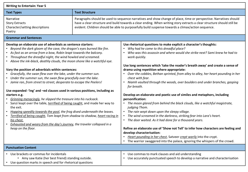| <b>Writing to Entertain: Year 5</b>                                                                                                                                                                                                                                                                                                                                                                                                                                                                                                                                                                                                                                                                                                                                                                                                                                                                                                                                                                                                                                                                                                                          |  |                                                                                                                                                                                                                                                                                                                                                                                                                                                                                                                                                                                                                                                                                                                                                                                                                                                                                                                                                                                                                                     |  |  |  |
|--------------------------------------------------------------------------------------------------------------------------------------------------------------------------------------------------------------------------------------------------------------------------------------------------------------------------------------------------------------------------------------------------------------------------------------------------------------------------------------------------------------------------------------------------------------------------------------------------------------------------------------------------------------------------------------------------------------------------------------------------------------------------------------------------------------------------------------------------------------------------------------------------------------------------------------------------------------------------------------------------------------------------------------------------------------------------------------------------------------------------------------------------------------|--|-------------------------------------------------------------------------------------------------------------------------------------------------------------------------------------------------------------------------------------------------------------------------------------------------------------------------------------------------------------------------------------------------------------------------------------------------------------------------------------------------------------------------------------------------------------------------------------------------------------------------------------------------------------------------------------------------------------------------------------------------------------------------------------------------------------------------------------------------------------------------------------------------------------------------------------------------------------------------------------------------------------------------------------|--|--|--|
| <b>Text Structure</b><br><b>Text Types</b>                                                                                                                                                                                                                                                                                                                                                                                                                                                                                                                                                                                                                                                                                                                                                                                                                                                                                                                                                                                                                                                                                                                   |  |                                                                                                                                                                                                                                                                                                                                                                                                                                                                                                                                                                                                                                                                                                                                                                                                                                                                                                                                                                                                                                     |  |  |  |
| <b>Narrative</b><br><b>Story Extracts</b><br>Character/setting descriptions<br>Poetry                                                                                                                                                                                                                                                                                                                                                                                                                                                                                                                                                                                                                                                                                                                                                                                                                                                                                                                                                                                                                                                                        |  | Paragraphs should be used to sequence narratives and show change of place, time or perspective. Narratives should<br>have a clear structure and build towards a clear ending. When writing story extracts a clear structure should still be<br>evident. Children should be able to purposefully build suspense towards a climax/action sequence.                                                                                                                                                                                                                                                                                                                                                                                                                                                                                                                                                                                                                                                                                    |  |  |  |
| <b>Grammar and Sentences</b>                                                                                                                                                                                                                                                                                                                                                                                                                                                                                                                                                                                                                                                                                                                                                                                                                                                                                                                                                                                                                                                                                                                                 |  |                                                                                                                                                                                                                                                                                                                                                                                                                                                                                                                                                                                                                                                                                                                                                                                                                                                                                                                                                                                                                                     |  |  |  |
| Develop an elaborate use of adverbials as sentence starters:<br>Beyond the dark gloom of the cave, the dragon's eyes burned like fire.<br>As fast as an arrow from a bow, Robin leapt towards the balcony.<br>Throughout the dreadful night, the wind howled and screamed.<br>Above the ink-black, deathly clouds, the moon shone like a watchful eye.<br>Vary the position of adverbials within sentences:<br>Gracefully, the swan flew over the lake, under the summer sun.<br>Under the summer sun, the swan flew gracefully over the lake.<br>Jamie ran, from street to street, desperate to escape the Peelers!<br>Use expanded -'ing' and -ed clauses used in various positions, including as<br>starters e.g.<br>Grinning menacingly, he slipped the treasure into his rucksack.<br>Sanzi leapt over the table, terrified of being caught, and made her way to<br>the exit.<br>Hopping speedily towards the pool, the frog dived underneath the leaves.<br>Terrified of being caught, Tom leapt from shadow to shadow, heart racing in<br>his chest.<br>Exhausted and weary from the day's journey, the traveler collapsed in a<br>heap on the floor. |  | Use rhetorical questions to make explicit a character's thoughts:<br>Why had he come to this dreadful place?<br>Who was this assassin and where would she strike next? Sami knew he had to<br>work quickly.<br>Use long sentences which 'take the reader's breath away' and create a sense of<br>drama using repetition where appropriate:<br>• Over the cobbles, Bethan sprinted, from alley to alley, her heart pounding in her<br>chest with fear.<br>• Niamh vaulted through the woods, over boulders and under branches, gasping<br>for breath.<br>Develop an elaborate and poetic use of similes and metaphors, including<br>personification:<br>The moon glared from behind the black clouds, like a watchful magistrate,<br>judging Thom.<br>The rain wept down upon the sleepy village.<br>The wind screamed in the darkness, striking fear into Lara's heart.<br>The door waited. As it had done for a thousand years.<br>$\bullet$<br>Refine an elaborate use of 'Show not Tell' to infer how characters are feeling and |  |  |  |
|                                                                                                                                                                                                                                                                                                                                                                                                                                                                                                                                                                                                                                                                                                                                                                                                                                                                                                                                                                                                                                                                                                                                                              |  | develop characterisation:<br>Heart pounding in her chest, Satveer crept warily into the crypt.<br>• The warrior swaggered into the palace, ignoring the whispers of the crowd.                                                                                                                                                                                                                                                                                                                                                                                                                                                                                                                                                                                                                                                                                                                                                                                                                                                      |  |  |  |
| <b>Punctuation Content</b>                                                                                                                                                                                                                                                                                                                                                                                                                                                                                                                                                                                                                                                                                                                                                                                                                                                                                                                                                                                                                                                                                                                                   |  |                                                                                                                                                                                                                                                                                                                                                                                                                                                                                                                                                                                                                                                                                                                                                                                                                                                                                                                                                                                                                                     |  |  |  |
| • Use brackets or commas for incidentals<br>• Amy saw Katie (her best friend) standing outside.<br>• Use question marks in speech and for rhetorical questions                                                                                                                                                                                                                                                                                                                                                                                                                                                                                                                                                                                                                                                                                                                                                                                                                                                                                                                                                                                               |  | Use commas to mark clauses and aid understanding<br>Use accurately punctuated speech to develop a narrative and characterisation                                                                                                                                                                                                                                                                                                                                                                                                                                                                                                                                                                                                                                                                                                                                                                                                                                                                                                    |  |  |  |